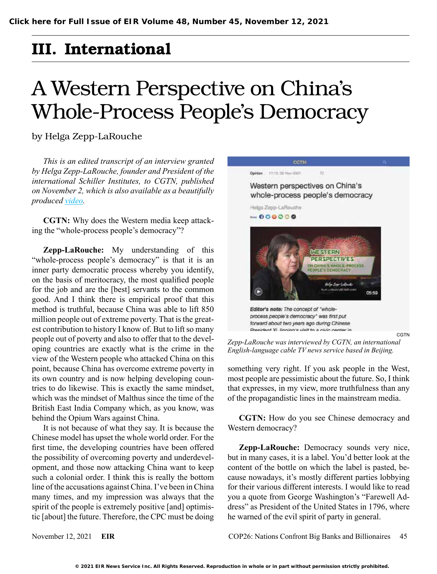## III. International

## A Western Perspective on China's Whole-Process People's Democracy

by Helga Zepp-LaRouche

*This is an edited transcript of an interview granted by Helga Zepp-LaRouche, founder and President of the international Schiller Institutes, to CGTN, published on November 2, which is also available as a beautifully produced [video](https://news.cgtn.com/news/2021-11-02/Western-perspectives-on-China-s-whole-process-people-s-democracy-14RhavG7Kfu/index.html).* 

**CGTN:** Why does the Western media keep attacking the "whole-process people's democracy"?

**Zepp-LaRouche:** My understanding of this "whole-process people's democracy" is that it is an inner party democratic process whereby you identify, on the basis of meritocracy, the most qualified people for the job and are the [best] servants to the common good. And I think there is empirical proof that this method is truthful, because China was able to lift 850 million people out of extreme poverty. That is the greatest contribution to history I know of. But to lift so many people out of poverty and also to offer that to the developing countries are exactly what is the crime in the view of the Western people who attacked China on this point, because China has overcome extreme poverty in its own country and is now helping developing countries to do likewise. This is exactly the same mindset, which was the mindset of Malthus since the time of the British East India Company which, as you know, was behind the Opium Wars against China.

It is not because of what they say. It is because the Chinese model has upset the whole world order. For the first time, the developing countries have been offered the possibility of overcoming poverty and underdevelopment, and those now attacking China want to keep such a colonial order. I think this is really the bottom line of the accusations against China. I've been in China many times, and my impression was always that the spirit of the people is extremely positive [and] optimistic [about] the future. Therefore, the CPC must be doing



*Zepp-LaRouche was interviewed by CGTN, an international English-language cable TV news service based in Beijing.*

something very right. If you ask people in the West, most people are pessimistic about the future. So, I think that expresses, in my view, more truthfulness than any of the propagandistic lines in the mainstream media.

**CGTN:** How do you see Chinese democracy and Western democracy?

**Zepp-LaRouche:** Democracy sounds very nice, but in many cases, it is a label. You'd better look at the content of the bottle on which the label is pasted, because nowadays, it's mostly different parties lobbying for their various different interests. I would like to read you a quote from George Washington's "Farewell Address" as President of the United States in 1796, where he warned of the evil spirit of party in general.

November 12, 2021 **EIR** COP26: Nations Confront Big Banks and Billionaires 45